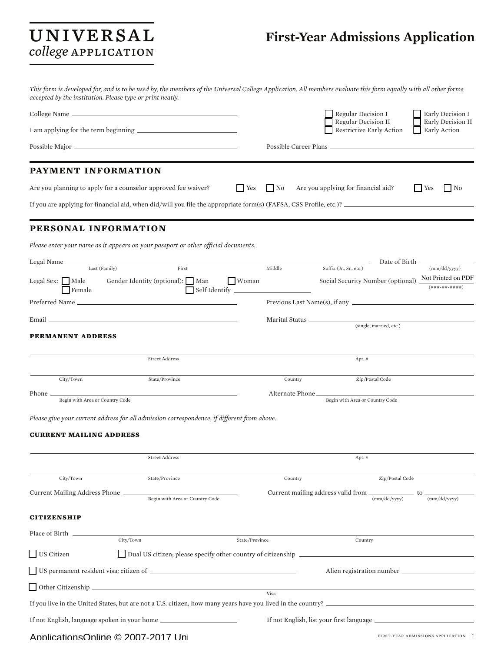# college APPLICATION

## UNIVERSAL First-Year Admissions Application

*This form is developed for, and is to be used by, the members of the Universal College Application. All members evaluate this form equally with all other forms accepted by the institution. Please type or print neatly.*

|                                                |                                                                                                                   |                           | Regular Decision I                                                                                 | Early Decision I                   |
|------------------------------------------------|-------------------------------------------------------------------------------------------------------------------|---------------------------|----------------------------------------------------------------------------------------------------|------------------------------------|
|                                                |                                                                                                                   |                           | Regular Decision II<br>Restrictive Early Action                                                    | Early Decision II<br>Early Action  |
|                                                |                                                                                                                   |                           | Possible Career Plans                                                                              |                                    |
| PAYMENT INFORMATION                            |                                                                                                                   |                           |                                                                                                    |                                    |
|                                                | Are you planning to apply for a counselor approved fee waiver?                                                    | $\vert$ Yes<br>$\vert$ No | Are you applying for financial aid?                                                                | $\blacksquare$ Yes<br>$\mathsf{N}$ |
|                                                | If you are applying for financial aid, when did/will you file the appropriate form(s) (FAFSA, CSS Profile, etc.)? |                           |                                                                                                    |                                    |
| PERSONAL INFORMATION                           |                                                                                                                   |                           |                                                                                                    |                                    |
|                                                | Please enter your name as it appears on your passport or other official documents.                                |                           |                                                                                                    |                                    |
| Legal Name<br>Last (Family)<br>Legal Sex: Male | First<br>Gender Identity (optional): Man<br>  Woman                                                               | Middle                    | Date of Birth _<br>Suffix (Jr., Sr., etc.)<br>Social Security Number (optional) Not Printed on PDF | (mm/dd/yyyy)                       |
| Female                                         |                                                                                                                   |                           |                                                                                                    | $( # # # - # # - # # # +  #)$      |
|                                                | the control of the control of the control of the control of the control of the control of                         |                           |                                                                                                    |                                    |
| Email <sub>–</sub><br><b>PERMANENT ADDRESS</b> |                                                                                                                   |                           | (single, married, etc.)                                                                            |                                    |
|                                                |                                                                                                                   |                           |                                                                                                    |                                    |
|                                                | <b>Street Address</b>                                                                                             |                           | Apt. #                                                                                             |                                    |
| City/Town                                      | State/Province                                                                                                    | Country                   | Zip/Postal Code                                                                                    |                                    |
| Phone_<br>Begin with Area or Country Code      |                                                                                                                   | Alternate Phone _         | Begin with Area or Country Code                                                                    |                                    |
|                                                | Please give your current address for all admission correspondence, if different from above.                       |                           |                                                                                                    |                                    |
| <b>CURRENT MAILING ADDRESS</b>                 |                                                                                                                   |                           |                                                                                                    |                                    |
|                                                | <b>Street Address</b>                                                                                             |                           | Apt. #                                                                                             |                                    |
| City/Town                                      | State/Province                                                                                                    | Country                   | Zip/Postal Code                                                                                    |                                    |
| Current Mailing Address Phone                  | Begin with Area or Country Code                                                                                   |                           | Current mailing address valid from __<br>(mm/dd/vvvv)                                              | _ to<br>(mm/dd/yyyy)               |
| <b>CITIZENSHIP</b>                             |                                                                                                                   |                           |                                                                                                    |                                    |
| Place of Birth                                 |                                                                                                                   |                           |                                                                                                    |                                    |
|                                                | City/Town                                                                                                         | State/Province            | Country                                                                                            |                                    |
| $\Box$ US Citizen                              | Dual US citizen; please specify other country of citizenship _                                                    |                           |                                                                                                    |                                    |
|                                                |                                                                                                                   |                           |                                                                                                    |                                    |
|                                                | Other Citizenship                                                                                                 | Visa                      |                                                                                                    |                                    |
|                                                |                                                                                                                   |                           |                                                                                                    |                                    |
|                                                | If not English, language spoken in your home ___________________________________                                  |                           |                                                                                                    |                                    |
|                                                |                                                                                                                   |                           |                                                                                                    |                                    |

#### ApplicationsOnline © 2007-2017 Uni

first-year admissions application 1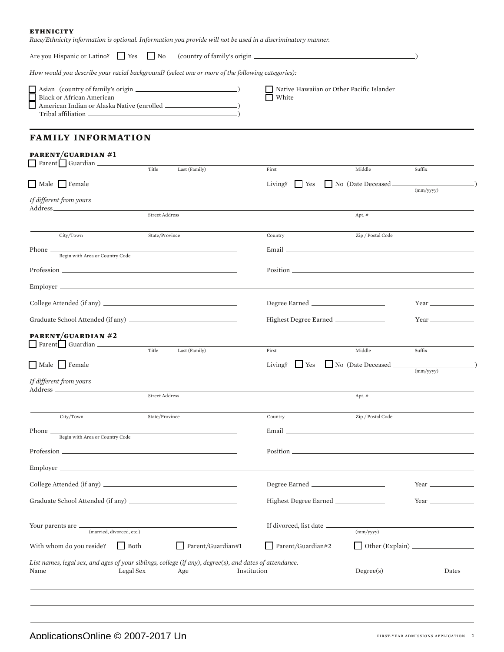| <b>ETHNICITY</b>                                                           |                                                                                                              |                                                    |                                 |           |
|----------------------------------------------------------------------------|--------------------------------------------------------------------------------------------------------------|----------------------------------------------------|---------------------------------|-----------|
|                                                                            | Race/Ethnicity information is optional. Information you provide will not be used in a discriminatory manner. |                                                    |                                 |           |
| Are you Hispanic or Latino? The Yes                                        | $\overline{\phantom{a}}$ No                                                                                  |                                                    |                                 |           |
|                                                                            | How would you describe your racial background? (select one or more of the following categories):             |                                                    |                                 |           |
| $\Box$<br>Black or African American<br>$\Box$<br>Tribal affiliation (2002) |                                                                                                              | Native Hawaiian or Other Pacific Islander<br>White |                                 |           |
| <b>FAMILY INFORMATION</b>                                                  |                                                                                                              |                                                    |                                 |           |
| PARENT/GUARDIAN #1<br>Parent Guardian                                      | Title<br>Last (Family)                                                                                       | First                                              | Middle                          | Suffix    |
| Male Female                                                                |                                                                                                              | Living?<br>  Yes                                   | No (Date Deceased               |           |
| If different from yours                                                    |                                                                                                              |                                                    |                                 | (mm/yyyy) |
|                                                                            | <b>Street Address</b>                                                                                        |                                                    | Apt. #                          |           |
| City/Town                                                                  | State/Province                                                                                               | Country                                            | Zip / Postal Code               |           |
| Phone _<br>Begin with Area or Country Code                                 |                                                                                                              | Email <u>Email</u>                                 |                                 |           |
|                                                                            |                                                                                                              |                                                    |                                 |           |
| Employer                                                                   |                                                                                                              |                                                    |                                 |           |
|                                                                            |                                                                                                              |                                                    |                                 |           |
|                                                                            |                                                                                                              | Highest Degree Earned                              |                                 |           |
| PARENT/GUARDIAN #2<br>Parent Guardian                                      |                                                                                                              |                                                    |                                 |           |
|                                                                            | Title<br>Last (Family)                                                                                       | First                                              | Middle                          | Suffix    |
| Male   Female                                                              |                                                                                                              | Living?<br><b>Sample Street</b>                    | $\Box$ No (Date Deceased $\Box$ | (mm/yyyy) |
| If different from yours<br>Address _                                       |                                                                                                              |                                                    |                                 |           |
|                                                                            | <b>Street Address</b>                                                                                        |                                                    | Apt. #                          |           |
| City/Town                                                                  | State/Province                                                                                               | Country                                            | Zip / Postal Code               |           |
| Phone _<br>Begin with Area or Country Code                                 |                                                                                                              | Email _                                            |                                 |           |
|                                                                            |                                                                                                              | Position.                                          |                                 |           |
|                                                                            |                                                                                                              |                                                    |                                 |           |
|                                                                            |                                                                                                              |                                                    |                                 |           |
|                                                                            |                                                                                                              | Highest Degree Earned                              |                                 |           |

| Your parents are<br>(married, divorced, etc.)                                                                   |           |                   | If divorced, list date | (mm/yyyy)                     |       |  |  |
|-----------------------------------------------------------------------------------------------------------------|-----------|-------------------|------------------------|-------------------------------|-------|--|--|
| With whom do you reside?                                                                                        | Both      | Parent/Guardian#1 | Parent/Guardian#2      | $\Box$ Other (Explain) $\Box$ |       |  |  |
| List names, legal sex, and ages of your siblings, college (if any), degree(s), and dates of attendance.<br>Name | Legal Sex | Age               | Institution            | Degree(s)                     | Dates |  |  |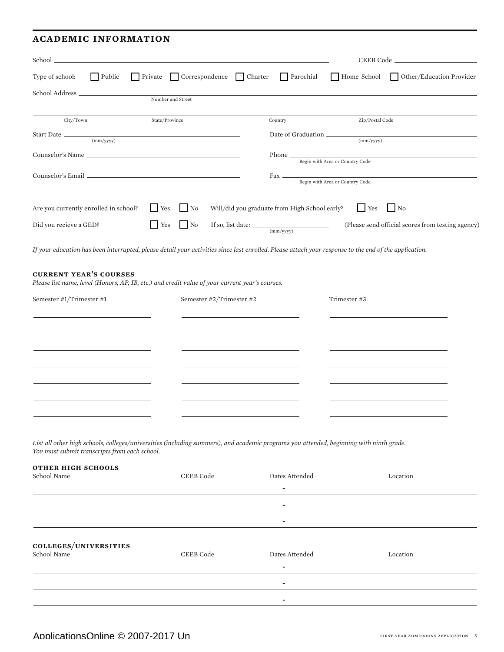#### **academic information**

| School _                                                                                                                                                                                                              |                   |                                |                                                             |                                 |                                                   |
|-----------------------------------------------------------------------------------------------------------------------------------------------------------------------------------------------------------------------|-------------------|--------------------------------|-------------------------------------------------------------|---------------------------------|---------------------------------------------------|
| Type of school:<br><b>Public</b>                                                                                                                                                                                      |                   | Private Correspondence Charter | Parochial                                                   | Home School                     | Other/Education Provider                          |
|                                                                                                                                                                                                                       | Number and Street |                                |                                                             |                                 |                                                   |
|                                                                                                                                                                                                                       |                   |                                |                                                             |                                 |                                                   |
| City/Town                                                                                                                                                                                                             | State/Province    |                                | Country                                                     | Zip/Postal Code                 |                                                   |
| $\frac{1}{(mm/yyy)}$                                                                                                                                                                                                  |                   |                                | Date of Graduation                                          | $\frac{1}{2}$ (mm/yyyy)         |                                                   |
|                                                                                                                                                                                                                       |                   |                                | Phone $\overline{\phantom{a}}$                              |                                 |                                                   |
|                                                                                                                                                                                                                       |                   |                                |                                                             | Begin with Area or Country Code |                                                   |
|                                                                                                                                                                                                                       |                   |                                |                                                             | Begin with Area or Country Code |                                                   |
|                                                                                                                                                                                                                       |                   |                                |                                                             |                                 |                                                   |
| Are you currently enrolled in school?                                                                                                                                                                                 | <b>T</b> Yes      | $\blacksquare$ No              | Will/did you graduate from High School early?               | $Y$ es                          | $\Box$ No                                         |
| Did you recieve a GED?                                                                                                                                                                                                | $\Box$ No<br>Yes  |                                | If so, list date: $\frac{\text{(mm/yyy)}}{\text{(mm/yyy)}}$ |                                 | (Please send official scores from testing agency) |
| If your education has been interrupted, please detail your activities since last enrolled. Please attach your response to the end of the application.                                                                 |                   |                                |                                                             |                                 |                                                   |
| <b>CURRENT YEAR'S COURSES</b><br>Please list name, level (Honors, AP, IB, etc.) and credit value of your current year's courses.<br>Semester #1/Trimester #1                                                          |                   | Semester #2/Trimester #2       |                                                             | Trimester #3                    |                                                   |
|                                                                                                                                                                                                                       |                   |                                |                                                             |                                 |                                                   |
|                                                                                                                                                                                                                       |                   |                                |                                                             |                                 |                                                   |
| List all other high schools, colleges/universities (including summers), and academic programs you attended, beginning with ninth grade.<br>You must submit transcripts from each school.<br><b>OTHER HIGH SCHOOLS</b> |                   |                                |                                                             |                                 |                                                   |
| School Name                                                                                                                                                                                                           |                   | CEEB Code                      | Dates Attended                                              |                                 | Location                                          |
|                                                                                                                                                                                                                       |                   |                                |                                                             |                                 |                                                   |

| COLLEGES/UNIVERSITIES<br>School Name | CEEB Code | Dates Attended<br>٠ | Location |
|--------------------------------------|-----------|---------------------|----------|
|                                      |           | ٠                   |          |

-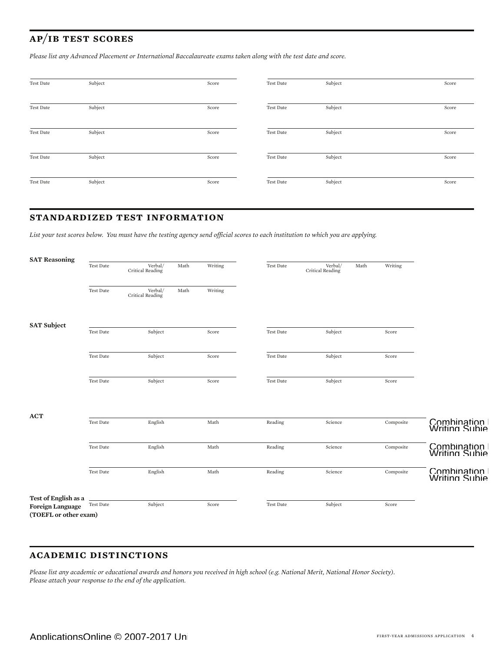### **ap/ib test scores**

*Please list any Advanced Placement or International Baccalaureate exams taken along with the test date and score.*

| Test Date | Subject | Score | Test Date | Subject | Score |
|-----------|---------|-------|-----------|---------|-------|
| Test Date | Subject | Score | Test Date | Subject | Score |
| Test Date | Subject | Score | Test Date | Subject | Score |
| Test Date | Subject | Score | Test Date | Subject | Score |
| Test Date | Subject | Score | Test Date | Subject | Score |

#### **standardized test information**

*List your test scores below. You must have the testing agency send official scores to each institution to which you are applying.*

| <b>SAT Reasoning</b>                             |           |                             |      |         |           |                             |      |           |                                        |
|--------------------------------------------------|-----------|-----------------------------|------|---------|-----------|-----------------------------|------|-----------|----------------------------------------|
|                                                  | Test Date | /Verbal<br>Critical Reading | Math | Writing | Test Date | Verbal/<br>Critical Reading | Math | Writing   |                                        |
|                                                  | Test Date | /Verbal<br>Critical Reading | Math | Writing |           |                             |      |           |                                        |
| <b>SAT Subject</b>                               | Test Date | Subject                     |      | Score   | Test Date | Subject                     |      | Score     |                                        |
|                                                  |           |                             |      |         |           |                             |      |           |                                        |
|                                                  | Test Date | Subject                     |      | Score   | Test Date | Subject                     |      | Score     |                                        |
|                                                  | Test Date | Subject                     |      | Score   | Test Date | Subject                     |      | Score     |                                        |
| <b>ACT</b>                                       | Test Date | English                     |      | Math    | Reading   | Science                     |      | Composite | Combination I<br>Writing Subier        |
|                                                  |           |                             |      |         |           |                             |      |           |                                        |
|                                                  | Test Date | English                     |      | Math    | Reading   | Science                     |      | Composite | Combination I<br>Writing Subied        |
|                                                  | Test Date | English                     |      | Math    | Reading   | Science                     |      | Composite | Combination I<br><b>Writing Subier</b> |
| Test of English as a                             |           |                             |      |         |           |                             |      |           |                                        |
| <b>Foreign Language</b><br>(TOEFL or other exam) | Test Date | Subject                     |      | Score   | Test Date | Subject                     |      | Score     |                                        |
|                                                  |           |                             |      |         |           |                             |      |           |                                        |

#### **academic distinctions**

*Please list any academic or educational awards and honors you received in high school (e.g. National Merit, National Honor Society). Please attach your response to the end of the application.*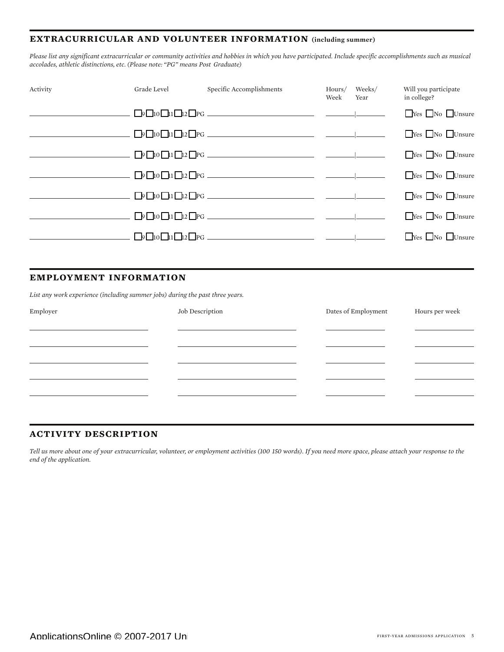#### **extracurricular and volunteer information (including summer)**

*Please list any significant extracurricular or community activities and hobbies in which you have participated. Include specific accomplishments such as musical accolades, athletic distinctions, etc. (Please note: "PG" means Post Graduate)* 

| Activity | Grade Level | Specific Accomplishments | Week | Hours/ Weeks/<br>Year | Will you participate<br>in college? |
|----------|-------------|--------------------------|------|-----------------------|-------------------------------------|
|          |             |                          |      |                       | $\Box$ Yes $\Box$ No $\Box$ Unsure  |
|          |             |                          |      |                       | $Yes$ No Unsure                     |
|          |             |                          |      |                       | Yes No Unsure                       |
|          |             |                          |      |                       | $\Box$ Yes $\Box$ No $\Box$ Unsure  |
|          |             |                          |      |                       | $\Box$ Yes $\Box$ No $\Box$ Unsure  |
|          |             |                          |      |                       | Yes No Unsure                       |
|          |             | $\Box$                   |      |                       | $\Box$ Yes $\Box$ No $\Box$ Unsure  |

#### **employment information**

*List any work experience (including summer jobs) during the past three years.*

| Employer | Job Description | Dates of Employment | Hours per week |
|----------|-----------------|---------------------|----------------|
|          |                 |                     |                |
|          |                 |                     |                |
|          |                 |                     |                |
|          |                 |                     |                |
|          |                 |                     |                |
|          |                 |                     |                |

#### **activity description**

*Tell us more about one of your extracurricular, volunteer, or employment activities (100 150 words). If you need more space, please attach your response to the end of the application.*